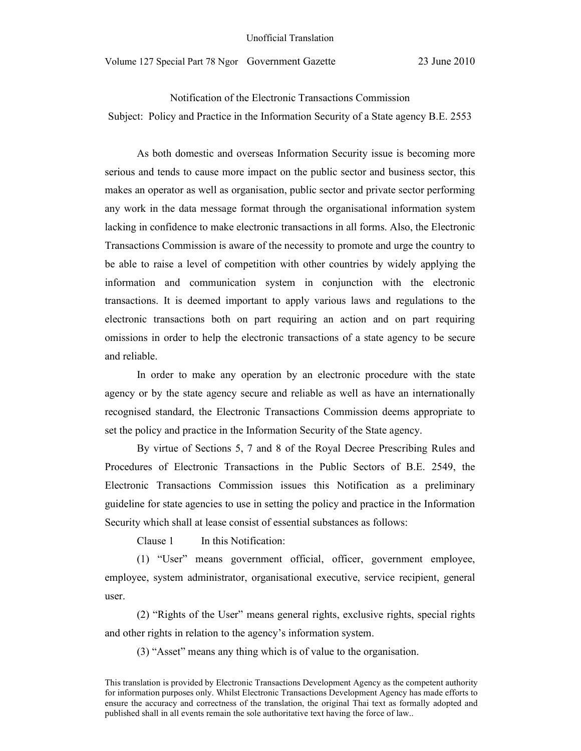Notification of the Electronic Transactions Commission Subject: Policy and Practice in the Information Security of a State agency B.E. 2553

As both domestic and overseas Information Security issue is becoming more serious and tends to cause more impact on the public sector and business sector, this makes an operator as well as organisation, public sector and private sector performing any work in the data message format through the organisational information system lacking in confidence to make electronic transactions in all forms. Also, the Electronic Transactions Commission is aware of the necessity to promote and urge the country to be able to raise a level of competition with other countries by widely applying the information and communication system in conjunction with the electronic transactions. It is deemed important to apply various laws and regulations to the electronic transactions both on part requiring an action and on part requiring omissions in order to help the electronic transactions of a state agency to be secure and reliable.

In order to make any operation by an electronic procedure with the state agency or by the state agency secure and reliable as well as have an internationally recognised standard, the Electronic Transactions Commission deems appropriate to set the policy and practice in the Information Security of the State agency.

By virtue of Sections 5, 7 and 8 of the Royal Decree Prescribing Rules and Procedures of Electronic Transactions in the Public Sectors of B.E. 2549, the Electronic Transactions Commission issues this Notification as a preliminary guideline for state agencies to use in setting the policy and practice in the Information Security which shall at lease consist of essential substances as follows:

Clause 1 In this Notification:

(1) "User" means government official, officer, government employee, employee, system administrator, organisational executive, service recipient, general user.

 (2) "Rights of the User" means general rights, exclusive rights, special rights and other rights in relation to the agency's information system.

(3) "Asset" means any thing which is of value to the organisation.

This translation is provided by Electronic Transactions Development Agency as the competent authority for information purposes only. Whilst Electronic Transactions Development Agency has made efforts to ensure the accuracy and correctness of the translation, the original Thai text as formally adopted and published shall in all events remain the sole authoritative text having the force of law..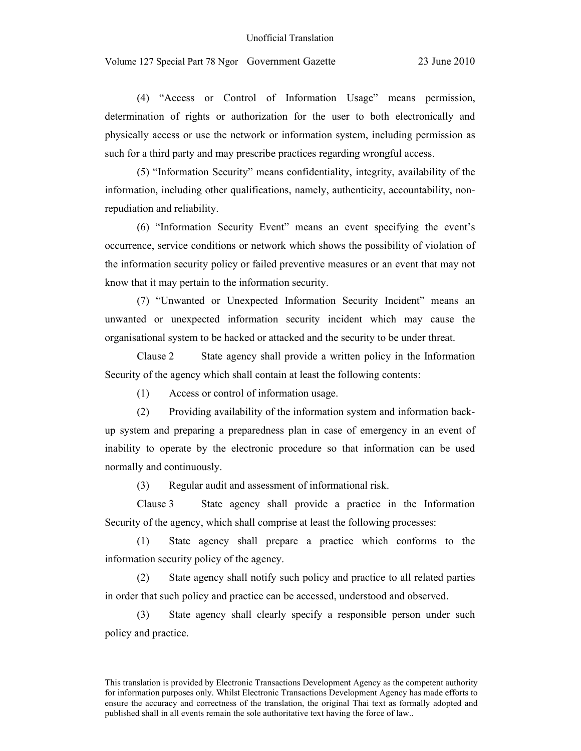(4) "Access or Control of Information Usage" means permission, determination of rights or authorization for the user to both electronically and physically access or use the network or information system, including permission as such for a third party and may prescribe practices regarding wrongful access.

(5) "Information Security" means confidentiality, integrity, availability of the information, including other qualifications, namely, authenticity, accountability, nonrepudiation and reliability.

(6) "Information Security Event" means an event specifying the event's occurrence, service conditions or network which shows the possibility of violation of the information security policy or failed preventive measures or an event that may not know that it may pertain to the information security.

(7) "Unwanted or Unexpected Information Security Incident" means an unwanted or unexpected information security incident which may cause the organisational system to be hacked or attacked and the security to be under threat.

Clause 2 State agency shall provide a written policy in the Information Security of the agency which shall contain at least the following contents:

(1) Access or control of information usage.

(2) Providing availability of the information system and information backup system and preparing a preparedness plan in case of emergency in an event of inability to operate by the electronic procedure so that information can be used normally and continuously.

(3) Regular audit and assessment of informational risk.

Clause 3 State agency shall provide a practice in the Information Security of the agency, which shall comprise at least the following processes:

(1) State agency shall prepare a practice which conforms to the information security policy of the agency.

(2) State agency shall notify such policy and practice to all related parties in order that such policy and practice can be accessed, understood and observed.

(3) State agency shall clearly specify a responsible person under such policy and practice.

This translation is provided by Electronic Transactions Development Agency as the competent authority for information purposes only. Whilst Electronic Transactions Development Agency has made efforts to ensure the accuracy and correctness of the translation, the original Thai text as formally adopted and published shall in all events remain the sole authoritative text having the force of law..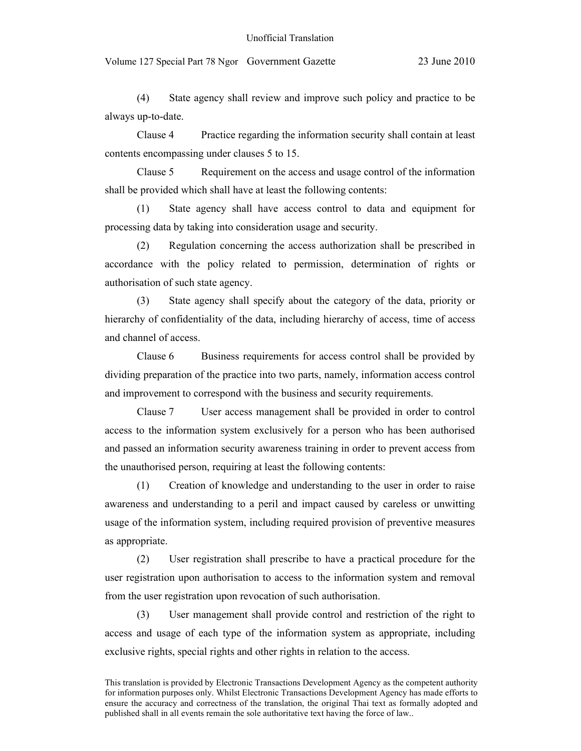(4) State agency shall review and improve such policy and practice to be always up-to-date.

Clause 4 Practice regarding the information security shall contain at least contents encompassing under clauses 5 to 15.

Clause 5 Requirement on the access and usage control of the information shall be provided which shall have at least the following contents:

(1) State agency shall have access control to data and equipment for processing data by taking into consideration usage and security.

(2) Regulation concerning the access authorization shall be prescribed in accordance with the policy related to permission, determination of rights or authorisation of such state agency.

(3) State agency shall specify about the category of the data, priority or hierarchy of confidentiality of the data, including hierarchy of access, time of access and channel of access.

Clause 6 Business requirements for access control shall be provided by dividing preparation of the practice into two parts, namely, information access control and improvement to correspond with the business and security requirements.

Clause 7 User access management shall be provided in order to control access to the information system exclusively for a person who has been authorised and passed an information security awareness training in order to prevent access from the unauthorised person, requiring at least the following contents:

(1) Creation of knowledge and understanding to the user in order to raise awareness and understanding to a peril and impact caused by careless or unwitting usage of the information system, including required provision of preventive measures as appropriate.

(2) User registration shall prescribe to have a practical procedure for the user registration upon authorisation to access to the information system and removal from the user registration upon revocation of such authorisation.

(3) User management shall provide control and restriction of the right to access and usage of each type of the information system as appropriate, including exclusive rights, special rights and other rights in relation to the access.

This translation is provided by Electronic Transactions Development Agency as the competent authority for information purposes only. Whilst Electronic Transactions Development Agency has made efforts to ensure the accuracy and correctness of the translation, the original Thai text as formally adopted and published shall in all events remain the sole authoritative text having the force of law..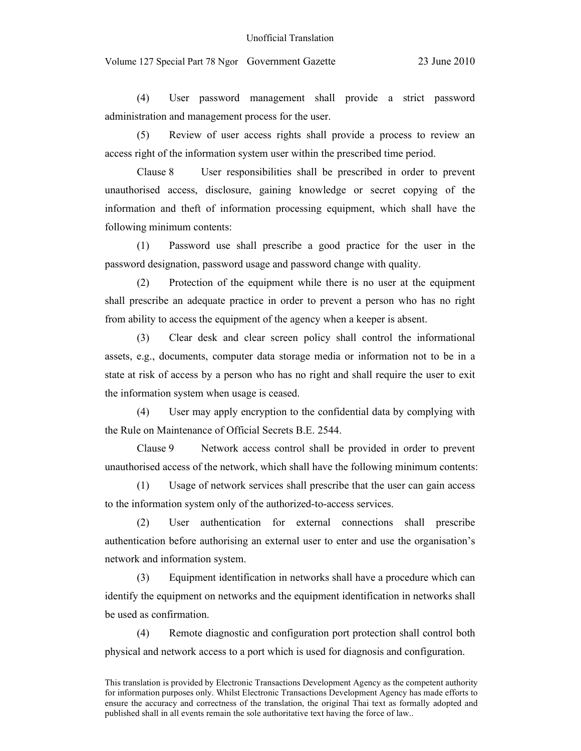(4) User password management shall provide a strict password administration and management process for the user.

(5) Review of user access rights shall provide a process to review an access right of the information system user within the prescribed time period.

Clause 8 User responsibilities shall be prescribed in order to prevent unauthorised access, disclosure, gaining knowledge or secret copying of the information and theft of information processing equipment, which shall have the following minimum contents:

(1) Password use shall prescribe a good practice for the user in the password designation, password usage and password change with quality.

(2) Protection of the equipment while there is no user at the equipment shall prescribe an adequate practice in order to prevent a person who has no right from ability to access the equipment of the agency when a keeper is absent.

(3) Clear desk and clear screen policy shall control the informational assets, e.g., documents, computer data storage media or information not to be in a state at risk of access by a person who has no right and shall require the user to exit the information system when usage is ceased.

(4) User may apply encryption to the confidential data by complying with the Rule on Maintenance of Official Secrets B.E. 2544.

Clause 9 Network access control shall be provided in order to prevent unauthorised access of the network, which shall have the following minimum contents:

(1) Usage of network services shall prescribe that the user can gain access to the information system only of the authorized-to-access services.

(2) User authentication for external connections shall prescribe authentication before authorising an external user to enter and use the organisation's network and information system.

(3) Equipment identification in networks shall have a procedure which can identify the equipment on networks and the equipment identification in networks shall be used as confirmation.

(4) Remote diagnostic and configuration port protection shall control both physical and network access to a port which is used for diagnosis and configuration.

This translation is provided by Electronic Transactions Development Agency as the competent authority for information purposes only. Whilst Electronic Transactions Development Agency has made efforts to ensure the accuracy and correctness of the translation, the original Thai text as formally adopted and published shall in all events remain the sole authoritative text having the force of law..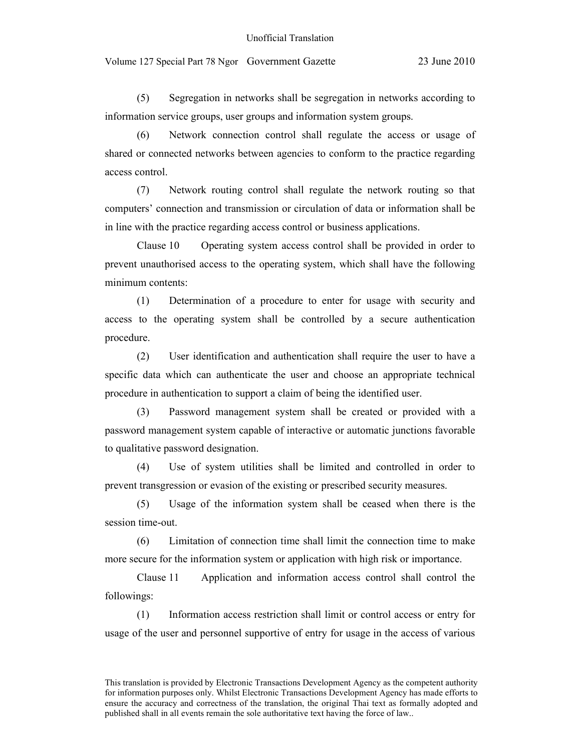## Unofficial Translation

Volume 127 Special Part 78 Ngor Government Gazette 23 June 2010

(5) Segregation in networks shall be segregation in networks according to information service groups, user groups and information system groups.

(6) Network connection control shall regulate the access or usage of shared or connected networks between agencies to conform to the practice regarding access control.

(7) Network routing control shall regulate the network routing so that computers' connection and transmission or circulation of data or information shall be in line with the practice regarding access control or business applications.

Clause 10 Operating system access control shall be provided in order to prevent unauthorised access to the operating system, which shall have the following minimum contents:

(1) Determination of a procedure to enter for usage with security and access to the operating system shall be controlled by a secure authentication procedure.

(2) User identification and authentication shall require the user to have a specific data which can authenticate the user and choose an appropriate technical procedure in authentication to support a claim of being the identified user.

(3) Password management system shall be created or provided with a password management system capable of interactive or automatic junctions favorable to qualitative password designation.

(4) Use of system utilities shall be limited and controlled in order to prevent transgression or evasion of the existing or prescribed security measures.

(5) Usage of the information system shall be ceased when there is the session time-out.

(6) Limitation of connection time shall limit the connection time to make more secure for the information system or application with high risk or importance.

Clause 11 Application and information access control shall control the followings:

(1) Information access restriction shall limit or control access or entry for usage of the user and personnel supportive of entry for usage in the access of various

This translation is provided by Electronic Transactions Development Agency as the competent authority for information purposes only. Whilst Electronic Transactions Development Agency has made efforts to ensure the accuracy and correctness of the translation, the original Thai text as formally adopted and published shall in all events remain the sole authoritative text having the force of law..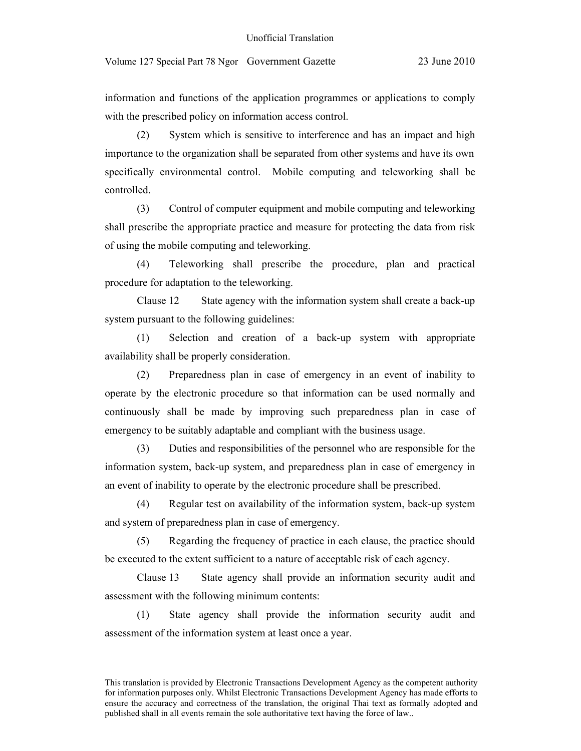information and functions of the application programmes or applications to comply with the prescribed policy on information access control.

(2) System which is sensitive to interference and has an impact and high importance to the organization shall be separated from other systems and have its own specifically environmental control. Mobile computing and teleworking shall be controlled.

(3) Control of computer equipment and mobile computing and teleworking shall prescribe the appropriate practice and measure for protecting the data from risk of using the mobile computing and teleworking.

(4) Teleworking shall prescribe the procedure, plan and practical procedure for adaptation to the teleworking.

Clause 12 State agency with the information system shall create a back-up system pursuant to the following guidelines:

(1) Selection and creation of a back-up system with appropriate availability shall be properly consideration.

(2) Preparedness plan in case of emergency in an event of inability to operate by the electronic procedure so that information can be used normally and continuously shall be made by improving such preparedness plan in case of emergency to be suitably adaptable and compliant with the business usage.

(3) Duties and responsibilities of the personnel who are responsible for the information system, back-up system, and preparedness plan in case of emergency in an event of inability to operate by the electronic procedure shall be prescribed.

(4) Regular test on availability of the information system, back-up system and system of preparedness plan in case of emergency.

(5) Regarding the frequency of practice in each clause, the practice should be executed to the extent sufficient to a nature of acceptable risk of each agency.

Clause 13 State agency shall provide an information security audit and assessment with the following minimum contents:

(1) State agency shall provide the information security audit and assessment of the information system at least once a year.

This translation is provided by Electronic Transactions Development Agency as the competent authority for information purposes only. Whilst Electronic Transactions Development Agency has made efforts to ensure the accuracy and correctness of the translation, the original Thai text as formally adopted and published shall in all events remain the sole authoritative text having the force of law..